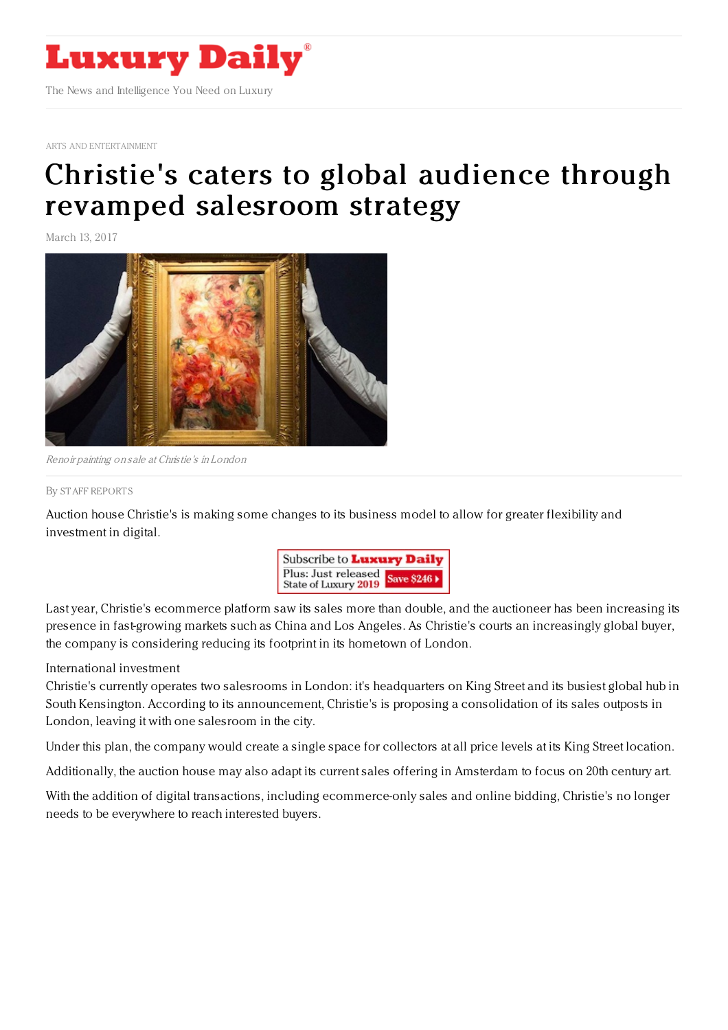

ARTS AND [ENTERTAINMENT](https://www.luxurydaily.com/category/sectors/arts-and-entertainment/)

## Christie's caters to global audience through revamped [salesroom](https://www.luxurydaily.com/christies-caters-to-global-audience-through-revamped-salesroom-strategy/) strategy

March 13, 2017



Renoir painting on sale at Christie's in London

## By STAFF [REPORT](file:///author/staff-reports) S

Auction house Christie's is making some changes to its business model to allow for greater flexibility and investment in digital.



Last year, Christie's ecommerce platform saw its sales more than double, and the auctioneer has been increasing its presence in fast-growing markets such as China and Los Angeles. As Christie's courts an increasingly global buyer, the company is considering reducing its footprint in its hometown of London.

## International investment

Christie's currently operates two salesrooms in London: it's headquarters on King Street and its busiest global hub in South Kensington. According to its announcement, Christie's is proposing a consolidation of its sales outposts in London, leaving it with one salesroom in the city.

Under this plan, the company would create a single space for collectors at all price levels at its King Street location.

Additionally, the auction house may also adapt its current sales offering in Amsterdam to focus on 20th century art.

With the addition of digital transactions, including ecommerce-only sales and online bidding, Christie's no longer needs to be everywhere to reach interested buyers.